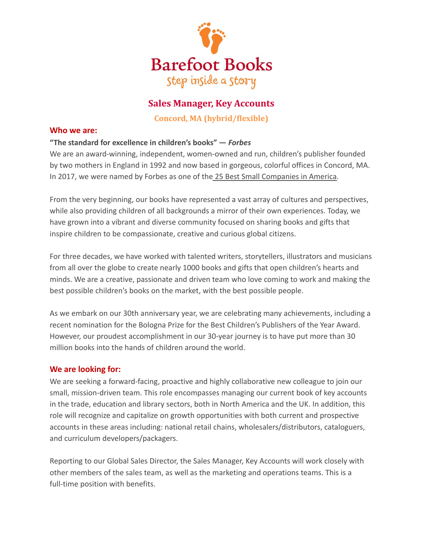

# **Sales Manager, Key Accounts**

**Concord, MA (hybrid/flexible)**

### **Who we are:**

# **"The standard for excellence in children's books" —** *Forbes*

We are an award-winning, independent, women-owned and run, children's publisher founded by two mothers in England in 1992 and now based in gorgeous, colorful offices in Concord, MA. In 2017, we were named by Forbes as one of the 25 [Best Small Companies in America.](http://www.barefootbooks.com/about-us/press-and-awards/)

From the very beginning, our books have represented a vast array of cultures and perspectives, while also providing children of all backgrounds a mirror of their own experiences. Today, we have grown into a vibrant and diverse community focused on sharing books and gifts that inspire children to be compassionate, creative and curious global citizens.

For three decades, we have worked with talented writers, storytellers, illustrators and musicians from all over the globe to create nearly 1000 books and gifts that open children's hearts and minds. We are a creative, passionate and driven team who love coming to work and making the best possible children's books on the market, with the best possible people.

As we embark on our 30th anniversary year, we are celebrating many achievements, including a recent nomination for the Bologna Prize for the Best Children's Publishers of the Year Award. However, our proudest accomplishment in our 30-year journey is to have put more than 30 million books into the hands of children around the world.

# **We are looking for:**

We are seeking a forward-facing, proactive and highly collaborative new colleague to join our small, mission-driven team. This role encompasses managing our current book of key accounts in the trade, education and library sectors, both in North America and the UK. In addition, this role will recognize and capitalize on growth opportunities with both current and prospective accounts in these areas including: national retail chains, wholesalers/distributors, cataloguers, and curriculum developers/packagers.

Reporting to our Global Sales Director, the Sales Manager, Key Accounts will work closely with other members of the sales team, as well as the marketing and operations teams. This is a full-time position with benefits.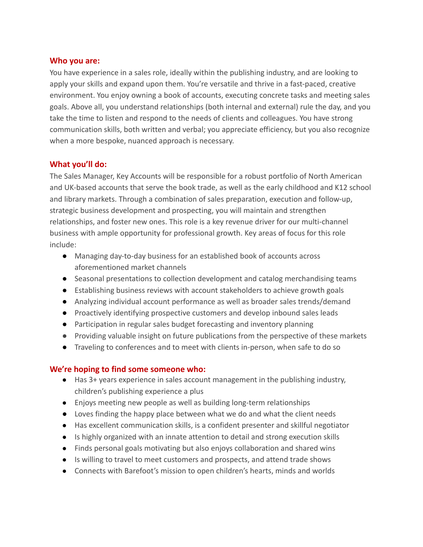#### **Who you are:**

You have experience in a sales role, ideally within the publishing industry, and are looking to apply your skills and expand upon them. You're versatile and thrive in a fast-paced, creative environment. You enjoy owning a book of accounts, executing concrete tasks and meeting sales goals. Above all, you understand relationships (both internal and external) rule the day, and you take the time to listen and respond to the needs of clients and colleagues. You have strong communication skills, both written and verbal; you appreciate efficiency, but you also recognize when a more bespoke, nuanced approach is necessary.

### **What you'll do:**

The Sales Manager, Key Accounts will be responsible for a robust portfolio of North American and UK-based accounts that serve the book trade, as well as the early childhood and K12 school and library markets. Through a combination of sales preparation, execution and follow-up, strategic business development and prospecting, you will maintain and strengthen relationships, and foster new ones. This role is a key revenue driver for our multi-channel business with ample opportunity for professional growth. Key areas of focus for this role include:

- Managing day-to-day business for an established book of accounts across aforementioned market channels
- Seasonal presentations to collection development and catalog merchandising teams
- Establishing business reviews with account stakeholders to achieve growth goals
- Analyzing individual account performance as well as broader sales trends/demand
- Proactively identifying prospective customers and develop inbound sales leads
- Participation in regular sales budget forecasting and inventory planning
- Providing valuable insight on future publications from the perspective of these markets
- Traveling to conferences and to meet with clients in-person, when safe to do so

# **We're hoping to find some someone who:**

- Has 3+ years experience in sales account management in the publishing industry, children's publishing experience a plus
- Enjoys meeting new people as well as building long-term relationships
- Loves finding the happy place between what we do and what the client needs
- Has excellent communication skills, is a confident presenter and skillful negotiator
- Is highly organized with an innate attention to detail and strong execution skills
- Finds personal goals motivating but also enjoys collaboration and shared wins
- Is willing to travel to meet customers and prospects, and attend trade shows
- Connects with Barefoot's mission to open children's hearts, minds and worlds